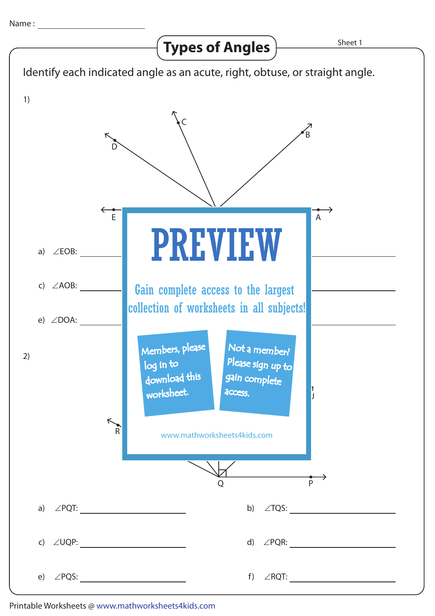